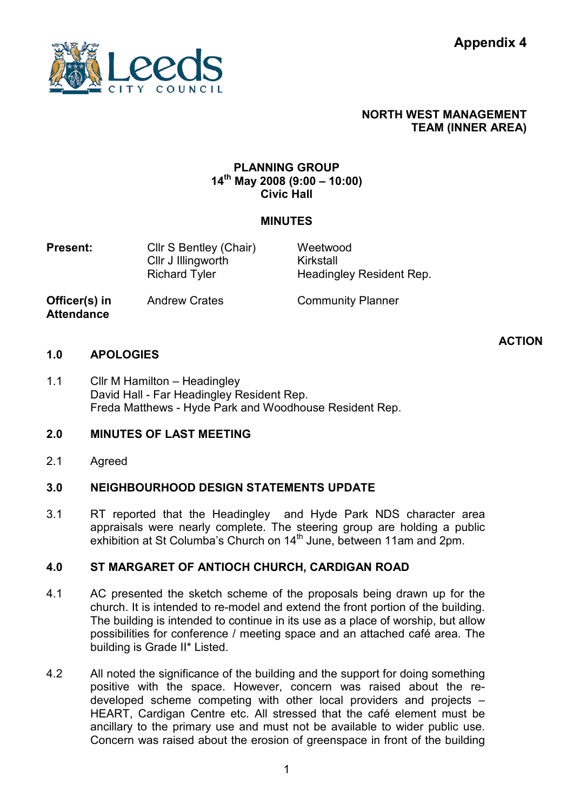

## NORTH WEST MANAGEMENT TEAM (INNER AREA)

## PLANNING GROUP 14th May 2008 (9:00 – 10:00) Civic Hall

## MINUTES

**Present:** Cllr S Bentley (Chair) Cllr J Illingworth Richard Tyler Weetwood Kirkstall Headingley Resident Rep.

Officer(s) in **Attendance** 

Andrew Crates **Community Planner** 

#### 1.0 APOLOGIES

**ACTION** 

1.1 Cllr M Hamilton – Headingley David Hall - Far Headingley Resident Rep. Freda Matthews - Hyde Park and Woodhouse Resident Rep.

#### 2.0 MINUTES OF LAST MEETING

2.1 Agreed

#### 3.0 NEIGHBOURHOOD DESIGN STATEMENTS UPDATE

3.1 RT reported that the Headingley and Hyde Park NDS character area appraisals were nearly complete. The steering group are holding a public exhibition at St Columba's Church on 14<sup>th</sup> June, between 11am and 2pm.

#### 4.0 ST MARGARET OF ANTIOCH CHURCH, CARDIGAN ROAD

- 4.1 AC presented the sketch scheme of the proposals being drawn up for the church. It is intended to re-model and extend the front portion of the building. The building is intended to continue in its use as a place of worship, but allow possibilities for conference / meeting space and an attached café area. The building is Grade II\* Listed.
- 4.2 All noted the significance of the building and the support for doing something positive with the space. However, concern was raised about the redeveloped scheme competing with other local providers and projects – HEART, Cardigan Centre etc. All stressed that the café element must be ancillary to the primary use and must not be available to wider public use. Concern was raised about the erosion of greenspace in front of the building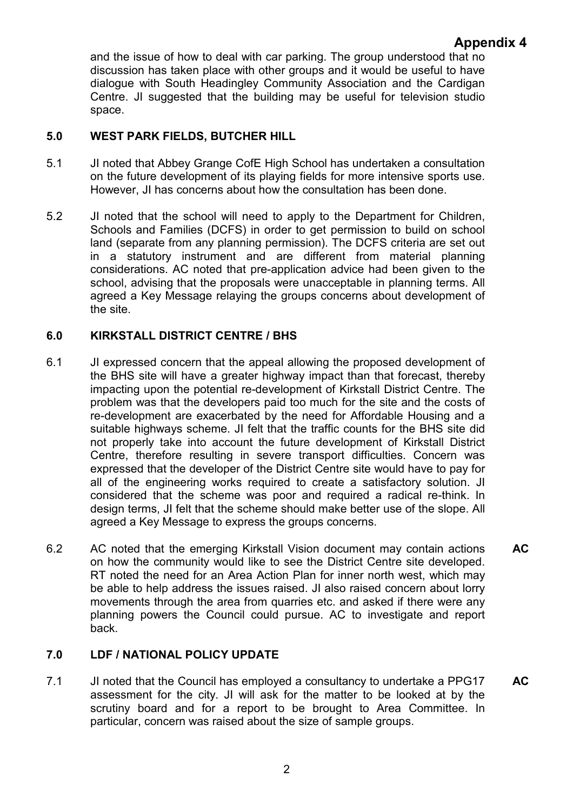## Appendix 4

and the issue of how to deal with car parking. The group understood that no discussion has taken place with other groups and it would be useful to have dialogue with South Headingley Community Association and the Cardigan Centre. JI suggested that the building may be useful for television studio space.

#### 5.0 WEST PARK FIELDS, BUTCHER HILL

- 5.1 JI noted that Abbey Grange CofE High School has undertaken a consultation on the future development of its playing fields for more intensive sports use. However, JI has concerns about how the consultation has been done.
- 5.2 JI noted that the school will need to apply to the Department for Children, Schools and Families (DCFS) in order to get permission to build on school land (separate from any planning permission). The DCFS criteria are set out in a statutory instrument and are different from material planning considerations. AC noted that pre-application advice had been given to the school, advising that the proposals were unacceptable in planning terms. All agreed a Key Message relaying the groups concerns about development of the site.

#### 6.0 KIRKSTALL DISTRICT CENTRE / BHS

- 6.1 JI expressed concern that the appeal allowing the proposed development of the BHS site will have a greater highway impact than that forecast, thereby impacting upon the potential re-development of Kirkstall District Centre. The problem was that the developers paid too much for the site and the costs of re-development are exacerbated by the need for Affordable Housing and a suitable highways scheme. JI felt that the traffic counts for the BHS site did not properly take into account the future development of Kirkstall District Centre, therefore resulting in severe transport difficulties. Concern was expressed that the developer of the District Centre site would have to pay for all of the engineering works required to create a satisfactory solution. JI considered that the scheme was poor and required a radical re-think. In design terms, JI felt that the scheme should make better use of the slope. All agreed a Key Message to express the groups concerns.
- 6.2 AC noted that the emerging Kirkstall Vision document may contain actions on how the community would like to see the District Centre site developed. RT noted the need for an Area Action Plan for inner north west, which may be able to help address the issues raised. JI also raised concern about lorry movements through the area from quarries etc. and asked if there were any planning powers the Council could pursue. AC to investigate and report back. AC

#### 7.0 LDF / NATIONAL POLICY UPDATE

7.1 JI noted that the Council has employed a consultancy to undertake a PPG17 assessment for the city. JI will ask for the matter to be looked at by the scrutiny board and for a report to be brought to Area Committee. In particular, concern was raised about the size of sample groups. AC